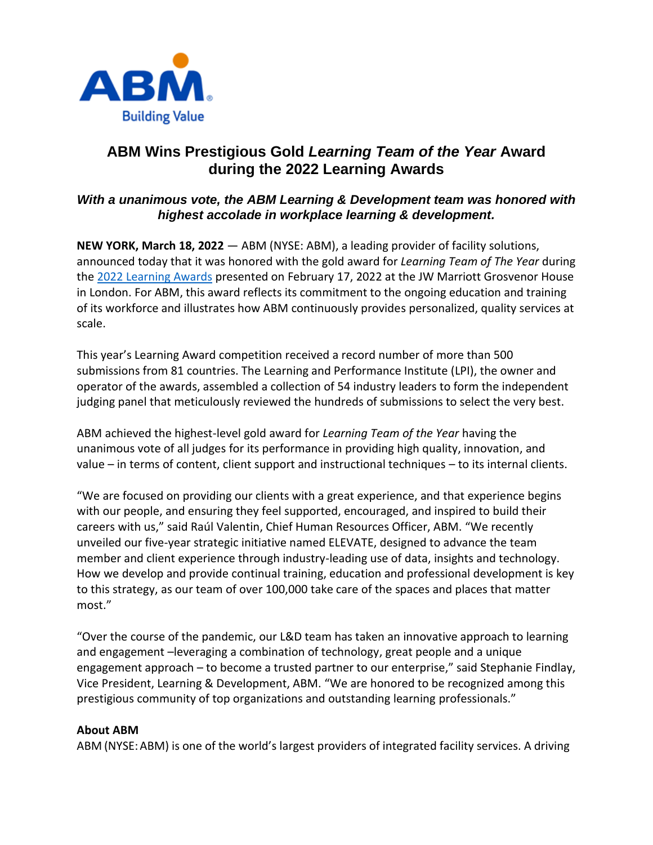

## **ABM Wins Prestigious Gold** *Learning Team of the Year* **Award during the 2022 Learning Awards**

## *With a unanimous vote, the ABM Learning & Development team was honored with highest accolade in workplace learning & development.*

**NEW YORK, March 18, 2022** — ABM (NYSE: ABM), a leading provider of facility solutions, announced today that it was honored with the gold award for *Learning Team of The Year* during the [2022 Learning Awards](https://thelearningawards.com/awards/) presented on February 17, 2022 at the JW Marriott Grosvenor House in London. For ABM, this award reflects its commitment to the ongoing education and training of its workforce and illustrates how ABM continuously provides personalized, quality services at scale.

This year's Learning Award competition received a record number of more than 500 submissions from 81 countries. The Learning and Performance Institute (LPI), the owner and operator of the awards, assembled a collection of 54 industry leaders to form the independent judging panel that meticulously reviewed the hundreds of submissions to select the very best.

ABM achieved the highest-level gold award for *Learning Team of the Year* having the unanimous vote of all judges for its performance in providing high quality, innovation, and value – in terms of content, client support and instructional techniques – to its internal clients.

"We are focused on providing our clients with a great experience, and that experience begins with our people, and ensuring they feel supported, encouraged, and inspired to build their careers with us," said Raúl Valentin, Chief Human Resources Officer, ABM. "We recently unveiled our five-year strategic initiative named ELEVATE, designed to advance the team member and client experience through industry-leading use of data, insights and technology. How we develop and provide continual training, education and professional development is key to this strategy, as our team of over 100,000 take care of the spaces and places that matter most."

"Over the course of the pandemic, our L&D team has taken an innovative approach to learning and engagement –leveraging a combination of technology, great people and a unique engagement approach – to become a trusted partner to our enterprise," said Stephanie Findlay, Vice President, Learning & Development, ABM. "We are honored to be recognized among this prestigious community of top organizations and outstanding learning professionals."

## **About ABM**

ABM (NYSE: ABM) is one of the world's largest providers of integrated facility services. A driving